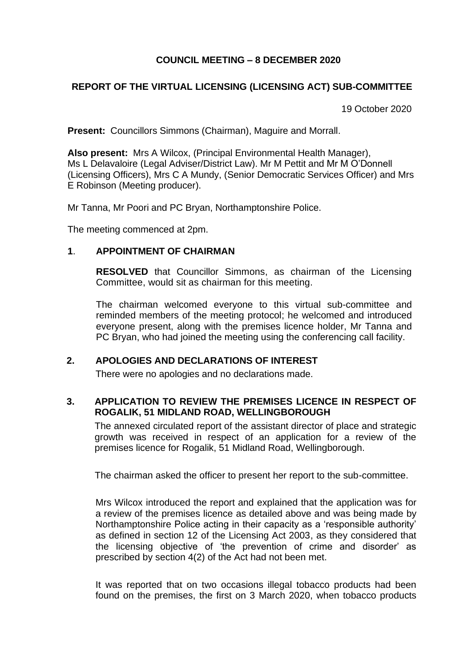# **COUNCIL MEETING – 8 DECEMBER 2020**

## **REPORT OF THE VIRTUAL LICENSING (LICENSING ACT) SUB-COMMITTEE**

19 October 2020

**Present:** Councillors Simmons (Chairman), Maguire and Morrall.

**Also present:** Mrs A Wilcox, (Principal Environmental Health Manager), Ms L Delavaloire (Legal Adviser/District Law). Mr M Pettit and Mr M O'Donnell (Licensing Officers), Mrs C A Mundy, (Senior Democratic Services Officer) and Mrs E Robinson (Meeting producer).

Mr Tanna, Mr Poori and PC Bryan, Northamptonshire Police.

The meeting commenced at 2pm.

#### **1**. **APPOINTMENT OF CHAIRMAN**

**RESOLVED** that Councillor Simmons, as chairman of the Licensing Committee, would sit as chairman for this meeting.

The chairman welcomed everyone to this virtual sub-committee and reminded members of the meeting protocol; he welcomed and introduced everyone present, along with the premises licence holder, Mr Tanna and PC Bryan, who had joined the meeting using the conferencing call facility.

### **2. APOLOGIES AND DECLARATIONS OF INTEREST**

There were no apologies and no declarations made.

## **3. APPLICATION TO REVIEW THE PREMISES LICENCE IN RESPECT OF ROGALIK, 51 MIDLAND ROAD, WELLINGBOROUGH**

The annexed circulated report of the assistant director of place and strategic growth was received in respect of an application for a review of the premises licence for Rogalik, 51 Midland Road, Wellingborough.

The chairman asked the officer to present her report to the sub-committee.

Mrs Wilcox introduced the report and explained that the application was for a review of the premises licence as detailed above and was being made by Northamptonshire Police acting in their capacity as a 'responsible authority' as defined in section 12 of the Licensing Act 2003, as they considered that the licensing objective of 'the prevention of crime and disorder' as prescribed by section 4(2) of the Act had not been met.

It was reported that on two occasions illegal tobacco products had been found on the premises, the first on 3 March 2020, when tobacco products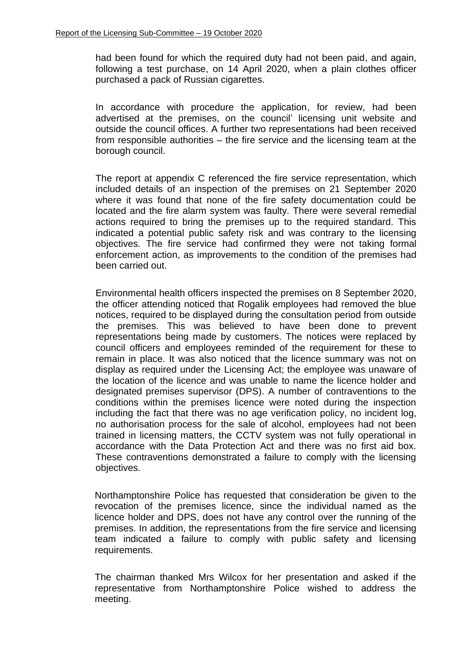had been found for which the required duty had not been paid, and again, following a test purchase, on 14 April 2020, when a plain clothes officer purchased a pack of Russian cigarettes.

In accordance with procedure the application, for review, had been advertised at the premises, on the council' licensing unit website and outside the council offices. A further two representations had been received from responsible authorities – the fire service and the licensing team at the borough council.

The report at appendix C referenced the fire service representation, which included details of an inspection of the premises on 21 September 2020 where it was found that none of the fire safety documentation could be located and the fire alarm system was faulty. There were several remedial actions required to bring the premises up to the required standard. This indicated a potential public safety risk and was contrary to the licensing objectives. The fire service had confirmed they were not taking formal enforcement action, as improvements to the condition of the premises had been carried out.

Environmental health officers inspected the premises on 8 September 2020, the officer attending noticed that Rogalik employees had removed the blue notices, required to be displayed during the consultation period from outside the premises. This was believed to have been done to prevent representations being made by customers. The notices were replaced by council officers and employees reminded of the requirement for these to remain in place. It was also noticed that the licence summary was not on display as required under the Licensing Act; the employee was unaware of the location of the licence and was unable to name the licence holder and designated premises supervisor (DPS). A number of contraventions to the conditions within the premises licence were noted during the inspection including the fact that there was no age verification policy, no incident log, no authorisation process for the sale of alcohol, employees had not been trained in licensing matters, the CCTV system was not fully operational in accordance with the Data Protection Act and there was no first aid box. These contraventions demonstrated a failure to comply with the licensing objectives.

Northamptonshire Police has requested that consideration be given to the revocation of the premises licence, since the individual named as the licence holder and DPS, does not have any control over the running of the premises. In addition, the representations from the fire service and licensing team indicated a failure to comply with public safety and licensing requirements.

The chairman thanked Mrs Wilcox for her presentation and asked if the representative from Northamptonshire Police wished to address the meeting.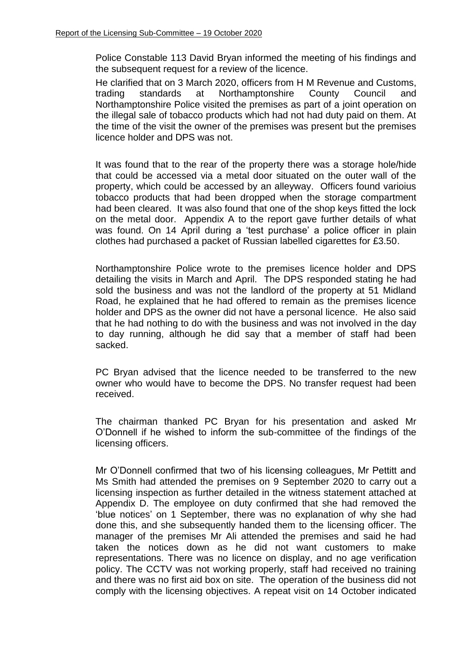Police Constable 113 David Bryan informed the meeting of his findings and the subsequent request for a review of the licence.

He clarified that on 3 March 2020, officers from H M Revenue and Customs, trading standards at Northamptonshire County Council and Northamptonshire Police visited the premises as part of a joint operation on the illegal sale of tobacco products which had not had duty paid on them. At the time of the visit the owner of the premises was present but the premises licence holder and DPS was not.

It was found that to the rear of the property there was a storage hole/hide that could be accessed via a metal door situated on the outer wall of the property, which could be accessed by an alleyway. Officers found varioius tobacco products that had been dropped when the storage compartment had been cleared. It was also found that one of the shop keys fitted the lock on the metal door. Appendix A to the report gave further details of what was found. On 14 April during a 'test purchase' a police officer in plain clothes had purchased a packet of Russian labelled cigarettes for £3.50.

Northamptonshire Police wrote to the premises licence holder and DPS detailing the visits in March and April. The DPS responded stating he had sold the business and was not the landlord of the property at 51 Midland Road, he explained that he had offered to remain as the premises licence holder and DPS as the owner did not have a personal licence. He also said that he had nothing to do with the business and was not involved in the day to day running, although he did say that a member of staff had been sacked.

PC Bryan advised that the licence needed to be transferred to the new owner who would have to become the DPS. No transfer request had been received.

The chairman thanked PC Bryan for his presentation and asked Mr O'Donnell if he wished to inform the sub-committee of the findings of the licensing officers.

Mr O'Donnell confirmed that two of his licensing colleagues, Mr Pettitt and Ms Smith had attended the premises on 9 September 2020 to carry out a licensing inspection as further detailed in the witness statement attached at Appendix D. The employee on duty confirmed that she had removed the 'blue notices' on 1 September, there was no explanation of why she had done this, and she subsequently handed them to the licensing officer. The manager of the premises Mr Ali attended the premises and said he had taken the notices down as he did not want customers to make representations. There was no licence on display, and no age verification policy. The CCTV was not working properly, staff had received no training and there was no first aid box on site. The operation of the business did not comply with the licensing objectives. A repeat visit on 14 October indicated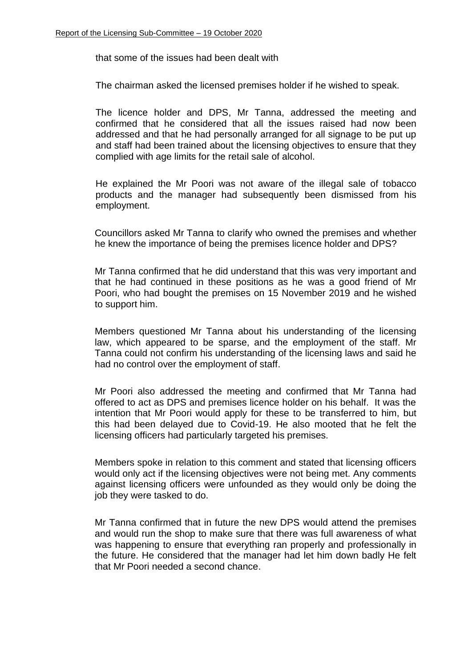that some of the issues had been dealt with

The chairman asked the licensed premises holder if he wished to speak.

The licence holder and DPS, Mr Tanna, addressed the meeting and confirmed that he considered that all the issues raised had now been addressed and that he had personally arranged for all signage to be put up and staff had been trained about the licensing objectives to ensure that they complied with age limits for the retail sale of alcohol.

He explained the Mr Poori was not aware of the illegal sale of tobacco products and the manager had subsequently been dismissed from his employment.

Councillors asked Mr Tanna to clarify who owned the premises and whether he knew the importance of being the premises licence holder and DPS?

Mr Tanna confirmed that he did understand that this was very important and that he had continued in these positions as he was a good friend of Mr Poori, who had bought the premises on 15 November 2019 and he wished to support him.

Members questioned Mr Tanna about his understanding of the licensing law, which appeared to be sparse, and the employment of the staff. Mr Tanna could not confirm his understanding of the licensing laws and said he had no control over the employment of staff.

Mr Poori also addressed the meeting and confirmed that Mr Tanna had offered to act as DPS and premises licence holder on his behalf. It was the intention that Mr Poori would apply for these to be transferred to him, but this had been delayed due to Covid-19. He also mooted that he felt the licensing officers had particularly targeted his premises.

Members spoke in relation to this comment and stated that licensing officers would only act if the licensing objectives were not being met. Any comments against licensing officers were unfounded as they would only be doing the job they were tasked to do.

Mr Tanna confirmed that in future the new DPS would attend the premises and would run the shop to make sure that there was full awareness of what was happening to ensure that everything ran properly and professionally in the future. He considered that the manager had let him down badly He felt that Mr Poori needed a second chance.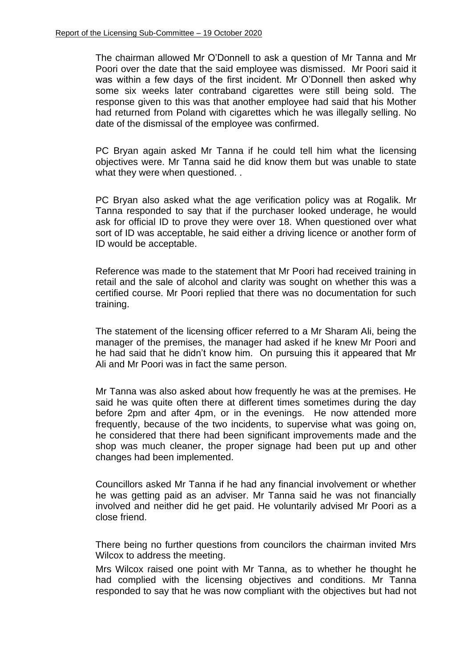The chairman allowed Mr O'Donnell to ask a question of Mr Tanna and Mr Poori over the date that the said employee was dismissed. Mr Poori said it was within a few days of the first incident. Mr O'Donnell then asked why some six weeks later contraband cigarettes were still being sold. The response given to this was that another employee had said that his Mother had returned from Poland with cigarettes which he was illegally selling. No date of the dismissal of the employee was confirmed.

PC Bryan again asked Mr Tanna if he could tell him what the licensing objectives were. Mr Tanna said he did know them but was unable to state what they were when questioned...

PC Bryan also asked what the age verification policy was at Rogalik. Mr Tanna responded to say that if the purchaser looked underage, he would ask for official ID to prove they were over 18. When questioned over what sort of ID was acceptable, he said either a driving licence or another form of ID would be acceptable.

Reference was made to the statement that Mr Poori had received training in retail and the sale of alcohol and clarity was sought on whether this was a certified course. Mr Poori replied that there was no documentation for such training.

The statement of the licensing officer referred to a Mr Sharam Ali, being the manager of the premises, the manager had asked if he knew Mr Poori and he had said that he didn't know him. On pursuing this it appeared that Mr Ali and Mr Poori was in fact the same person.

Mr Tanna was also asked about how frequently he was at the premises. He said he was quite often there at different times sometimes during the day before 2pm and after 4pm, or in the evenings. He now attended more frequently, because of the two incidents, to supervise what was going on, he considered that there had been significant improvements made and the shop was much cleaner, the proper signage had been put up and other changes had been implemented.

Councillors asked Mr Tanna if he had any financial involvement or whether he was getting paid as an adviser. Mr Tanna said he was not financially involved and neither did he get paid. He voluntarily advised Mr Poori as a close friend.

There being no further questions from councilors the chairman invited Mrs Wilcox to address the meeting.

Mrs Wilcox raised one point with Mr Tanna, as to whether he thought he had complied with the licensing objectives and conditions. Mr Tanna responded to say that he was now compliant with the objectives but had not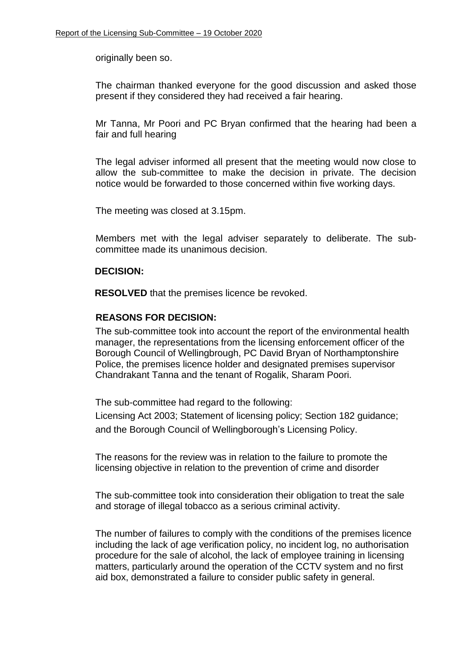originally been so.

The chairman thanked everyone for the good discussion and asked those present if they considered they had received a fair hearing.

Mr Tanna, Mr Poori and PC Bryan confirmed that the hearing had been a fair and full hearing

The legal adviser informed all present that the meeting would now close to allow the sub-committee to make the decision in private. The decision notice would be forwarded to those concerned within five working days.

The meeting was closed at 3.15pm.

Members met with the legal adviser separately to deliberate. The subcommittee made its unanimous decision.

### **DECISION:**

**RESOLVED** that the premises licence be revoked.

### **REASONS FOR DECISION:**

The sub-committee took into account the report of the environmental health manager, the representations from the licensing enforcement officer of the Borough Council of Wellingbrough, PC David Bryan of Northamptonshire Police, the premises licence holder and designated premises supervisor Chandrakant Tanna and the tenant of Rogalik, Sharam Poori.

The sub-committee had regard to the following:

Licensing Act 2003; Statement of licensing policy; Section 182 guidance; and the Borough Council of Wellingborough's Licensing Policy.

The reasons for the review was in relation to the failure to promote the licensing objective in relation to the prevention of crime and disorder

The sub-committee took into consideration their obligation to treat the sale and storage of illegal tobacco as a serious criminal activity.

The number of failures to comply with the conditions of the premises licence including the lack of age verification policy, no incident log, no authorisation procedure for the sale of alcohol, the lack of employee training in licensing matters, particularly around the operation of the CCTV system and no first aid box, demonstrated a failure to consider public safety in general.